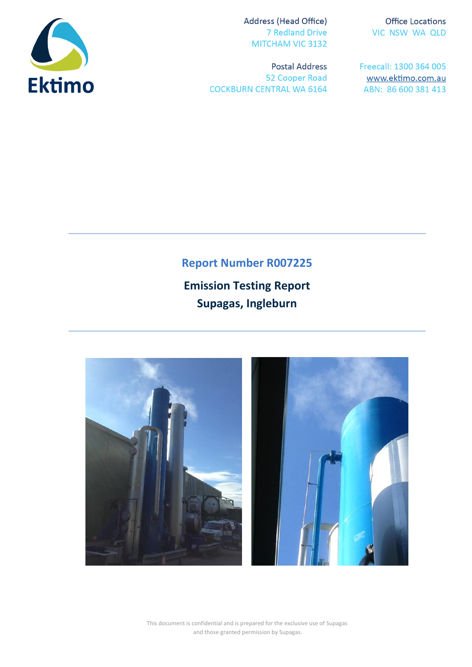

Address (Head Office) **7 Redland Drive** MITCHAM VIC 3132

**Postal Address** 52 Cooper Road **COCKBURN CENTRAL WA 6164** 

**Office Locations** VIC NSW WA QLD

Freecall: 1300 364 005 www.ektimo.com.au ABN: 86 600 381 413

# **Report Number R007225**

**Emission Testing Report Supagas, Ingleburn**



This document is confidential and is prepared for the exclusive use of Supagas and those granted permission by Supagas.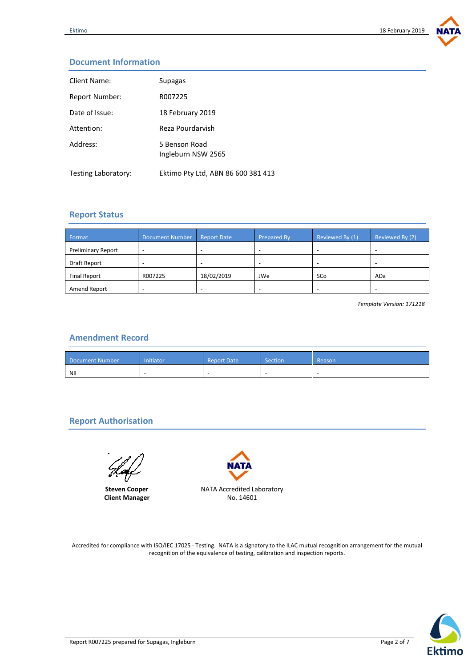

## **Document Information**

| Client Name:        | Supagas                             |
|---------------------|-------------------------------------|
| Report Number:      | R007225                             |
| Date of Issue:      | 18 February 2019                    |
| Attention:          | Reza Pourdarvish                    |
| Address:            | 5 Benson Road<br>Ingleburn NSW 2565 |
| Testing Laboratory: | Ektimo Pty Ltd, ABN 86 600 381 413  |

### **Report Status**

| Format                    | <b>Document Number</b> | <b>Report Date</b> | <b>Prepared By</b> | Reviewed By (1) | Reviewed By (2) |
|---------------------------|------------------------|--------------------|--------------------|-----------------|-----------------|
| <b>Preliminary Report</b> |                        |                    |                    |                 |                 |
| Draft Report              |                        |                    |                    |                 |                 |
| <b>Final Report</b>       | R007225                | 18/02/2019         | JWe                | SCo             | ADa             |
| Amend Report              |                        |                    |                    |                 |                 |

*Template Version: 171218*

### **Amendment Record**

| Document Number | Initiator <sup>i</sup> | <b>Report Date</b> | Section | Reason |
|-----------------|------------------------|--------------------|---------|--------|
| Nil             |                        |                    |         |        |

## **Report Authorisation**

**Steven Cooper Client Manager**



Accredited for compliance with ISO/IEC 17025 - Testing. NATA is a signatory to the ILAC mutual recognition arrangement for the mutual recognition of the equivalence of testing, calibration and inspection reports.

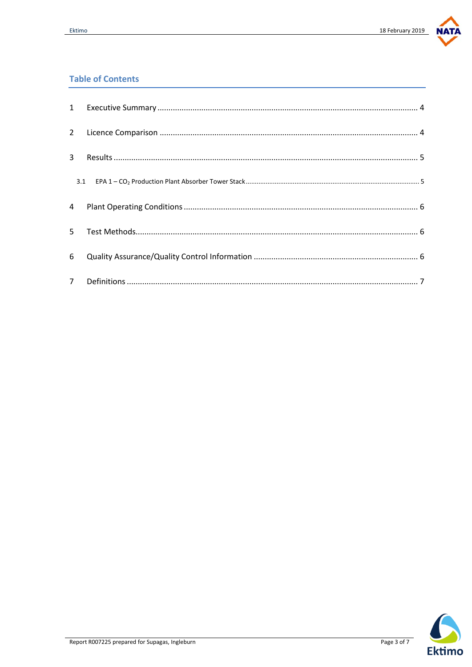

## **Table of Contents**

| $\mathbf{1}$   |  |
|----------------|--|
| $2^{\circ}$    |  |
| 3              |  |
| 3.1            |  |
| 4              |  |
| 5.             |  |
| 6              |  |
| 7 <sup>7</sup> |  |

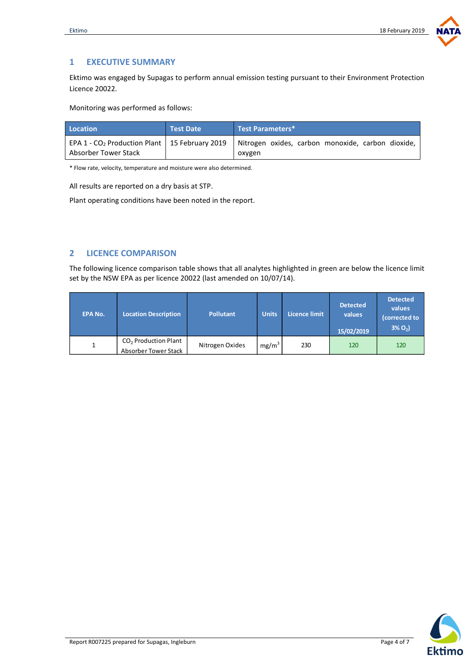

## <span id="page-3-0"></span>**1 EXECUTIVE SUMMARY**

Ektimo was engaged by Supagas to perform annual emission testing pursuant to their Environment Protection Licence 20022.

Monitoring was performed as follows:

| Location             | <b>Test Date</b> | Test Parameters*                                                                                                          |
|----------------------|------------------|---------------------------------------------------------------------------------------------------------------------------|
| Absorber Tower Stack |                  | EPA 1 - CO <sub>2</sub> Production Plant   15 February 2019   Nitrogen oxides, carbon monoxide, carbon dioxide,<br>oxygen |

\* Flow rate, velocity, temperature and moisture were also determined.

All results are reported on a dry basis at STP.

Plant operating conditions have been noted in the report.

### <span id="page-3-1"></span>**2 LICENCE COMPARISON**

The following licence comparison table shows that all analytes highlighted in green are below the licence limit set by the NSW EPA as per licence 20022 (last amended on 10/07/14).

| <b>EPA No.</b> | <b>Location Description</b>                    | <b>Pollutant</b> | <b>Units</b>      | Licence limit | <b>Detected</b><br>values<br>15/02/2019 | <b>Detected</b><br>values<br>(corrected to<br>$3\% O_{2}$ |
|----------------|------------------------------------------------|------------------|-------------------|---------------|-----------------------------------------|-----------------------------------------------------------|
|                | $CO2$ Production Plant<br>Absorber Tower Stack | Nitrogen Oxides  | mg/m <sup>3</sup> | 230           | 120                                     | 120                                                       |

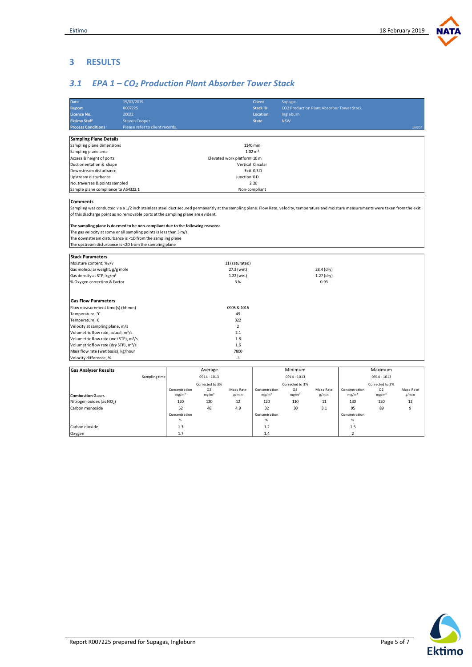**NATA** 

#### <span id="page-4-0"></span>**3 RESULTS**

Carbon dioxide Oxygen

## <span id="page-4-1"></span>*3.1 EPA 1 – CO<sup>2</sup> Production Plant Absorber Tower Stack*

| <b>Date</b>                                                                                                                                                                               | 15/02/2019                      |                    |                   |                             | <b>Client</b>     | <b>Supagas</b>                                   |            |                   |                   |           |
|-------------------------------------------------------------------------------------------------------------------------------------------------------------------------------------------|---------------------------------|--------------------|-------------------|-----------------------------|-------------------|--------------------------------------------------|------------|-------------------|-------------------|-----------|
| <b>Report</b>                                                                                                                                                                             | R007225                         |                    |                   |                             | <b>Stack ID</b>   | <b>CO2 Production Plant Absorber Tower Stack</b> |            |                   |                   |           |
| Licence No.                                                                                                                                                                               | 20022                           |                    |                   |                             | <b>Location</b>   | Ingleburn                                        |            |                   |                   |           |
| <b>Ektimo Staff</b>                                                                                                                                                                       | <b>Steven Cooper</b>            |                    |                   |                             | <b>State</b>      | <b>NSW</b>                                       |            |                   |                   |           |
| <b>Process Conditions</b>                                                                                                                                                                 | Please refer to client records. |                    |                   |                             |                   |                                                  |            |                   |                   | 190207    |
|                                                                                                                                                                                           |                                 |                    |                   |                             |                   |                                                  |            |                   |                   |           |
| <b>Sampling Plane Details</b>                                                                                                                                                             |                                 |                    |                   |                             |                   |                                                  |            |                   |                   |           |
| Sampling plane dimensions                                                                                                                                                                 |                                 |                    |                   | 1140 mm                     |                   |                                                  |            |                   |                   |           |
| Sampling plane area                                                                                                                                                                       |                                 | $1.02 \text{ m}^2$ |                   |                             |                   |                                                  |            |                   |                   |           |
| Access & height of ports                                                                                                                                                                  |                                 |                    |                   | Elevated work platform 10 m |                   |                                                  |            |                   |                   |           |
| Duct orientation & shape                                                                                                                                                                  |                                 |                    |                   | Vertical Circular           |                   |                                                  |            |                   |                   |           |
| Downstream disturbance                                                                                                                                                                    |                                 |                    |                   |                             | Exit 0.3 D        |                                                  |            |                   |                   |           |
| Upstream disturbance                                                                                                                                                                      |                                 |                    |                   | Junction 0D                 |                   |                                                  |            |                   |                   |           |
| No. traverses & points sampled                                                                                                                                                            |                                 |                    |                   |                             | 2 2 0             |                                                  |            |                   |                   |           |
| Sample plane compliance to AS4323.1                                                                                                                                                       |                                 |                    |                   |                             | Non-compliant     |                                                  |            |                   |                   |           |
|                                                                                                                                                                                           |                                 |                    |                   |                             |                   |                                                  |            |                   |                   |           |
| <b>Comments</b>                                                                                                                                                                           |                                 |                    |                   |                             |                   |                                                  |            |                   |                   |           |
| Sampling was conducted via a 1/2 inch stainless steel duct secured permanantly at the sampling plane. Flow Rate, velocity, temperature and moisture measurements were taken from the exit |                                 |                    |                   |                             |                   |                                                  |            |                   |                   |           |
| of this discharge point as no removable ports at the sampling plane are evident.                                                                                                          |                                 |                    |                   |                             |                   |                                                  |            |                   |                   |           |
|                                                                                                                                                                                           |                                 |                    |                   |                             |                   |                                                  |            |                   |                   |           |
| The sampling plane is deemed to be non-compliant due to the following reasons:                                                                                                            |                                 |                    |                   |                             |                   |                                                  |            |                   |                   |           |
| The gas velocity at some or all sampling points is less than 3 m/s                                                                                                                        |                                 |                    |                   |                             |                   |                                                  |            |                   |                   |           |
| The downstream disturbance is <1D from the sampling plane                                                                                                                                 |                                 |                    |                   |                             |                   |                                                  |            |                   |                   |           |
| The upstream disturbance is <2D from the sampling plane                                                                                                                                   |                                 |                    |                   |                             |                   |                                                  |            |                   |                   |           |
|                                                                                                                                                                                           |                                 |                    |                   |                             |                   |                                                  |            |                   |                   |           |
| <b>Stack Parameters</b>                                                                                                                                                                   |                                 |                    |                   |                             |                   |                                                  |            |                   |                   |           |
| Moisture content, %v/v                                                                                                                                                                    |                                 |                    |                   | 11 (saturated)              |                   |                                                  |            |                   |                   |           |
| Gas molecular weight, g/g mole                                                                                                                                                            |                                 |                    |                   | 27.3 (wet)                  |                   |                                                  | 28.4 (dry) |                   |                   |           |
| Gas density at STP, kg/m <sup>3</sup>                                                                                                                                                     | 1.22 (wet)                      |                    |                   |                             | 1.27 (dry)        |                                                  |            |                   |                   |           |
| % Oxygen correction & Factor                                                                                                                                                              |                                 |                    |                   | 3%                          |                   |                                                  | 0.93       |                   |                   |           |
|                                                                                                                                                                                           |                                 |                    |                   |                             |                   |                                                  |            |                   |                   |           |
|                                                                                                                                                                                           |                                 |                    |                   |                             |                   |                                                  |            |                   |                   |           |
| <b>Gas Flow Parameters</b>                                                                                                                                                                |                                 |                    |                   |                             |                   |                                                  |            |                   |                   |           |
| Flow measurement time(s) (hhmm)                                                                                                                                                           |                                 |                    |                   | 0905 & 1016                 |                   |                                                  |            |                   |                   |           |
| Temperature, °C                                                                                                                                                                           |                                 |                    |                   | 49                          |                   |                                                  |            |                   |                   |           |
| Temperature, K                                                                                                                                                                            |                                 |                    |                   | 322                         |                   |                                                  |            |                   |                   |           |
| Velocity at sampling plane, m/s                                                                                                                                                           |                                 |                    |                   | $\overline{2}$              |                   |                                                  |            |                   |                   |           |
| Volumetric flow rate, actual, m <sup>3</sup> /s                                                                                                                                           |                                 |                    |                   | 2.1                         |                   |                                                  |            |                   |                   |           |
| Volumetric flow rate (wet STP), m <sup>3</sup> /s                                                                                                                                         |                                 |                    |                   | 1.8                         |                   |                                                  |            |                   |                   |           |
| Volumetric flow rate (dry STP), m <sup>3</sup> /s                                                                                                                                         |                                 |                    |                   | 1.6                         |                   |                                                  |            |                   |                   |           |
| Mass flow rate (wet basis), kg/hour                                                                                                                                                       |                                 |                    |                   | 7800                        |                   |                                                  |            |                   |                   |           |
| Velocity difference, %                                                                                                                                                                    |                                 |                    |                   | $-1$                        |                   |                                                  |            |                   |                   |           |
|                                                                                                                                                                                           |                                 |                    |                   |                             |                   |                                                  |            |                   |                   |           |
| <b>Gas Analyser Results</b>                                                                                                                                                               |                                 |                    | Average           |                             |                   | Minimum                                          |            |                   | Maximum           |           |
|                                                                                                                                                                                           | Sampling time                   |                    | 0914 - 1013       |                             |                   | 0914 - 1013                                      |            |                   | 0914 - 1013       |           |
|                                                                                                                                                                                           |                                 |                    | Corrected to 3%   |                             |                   | Corrected to 3%                                  |            |                   | Corrected to 3%   |           |
|                                                                                                                                                                                           |                                 | Concentration      | 02                | Mass Rate                   | Concentration     | 02                                               | Mass Rate  | Concentration     | 02                | Mass Rate |
| <b>Combustion Gases</b>                                                                                                                                                                   |                                 | mg/m <sup>3</sup>  | mg/m <sup>3</sup> | g/min                       | mg/m <sup>3</sup> | mg/m <sup>3</sup>                                | g/min      | mg/m <sup>3</sup> | mg/m <sup>3</sup> | g/min     |
| Nitrogen oxides (as NO <sub>2</sub> )                                                                                                                                                     |                                 | 120                | 120               | 12                          | 120               | 110                                              | 11         | 130               | 120               | 12        |

Concentration % 1.4

32

1.2

Carbon monoxide | 52 48 4.9 | 32 30 3.1 | 95 89 9

Concentration % 1.3 1.7

52



Concentration % 1.5 2

95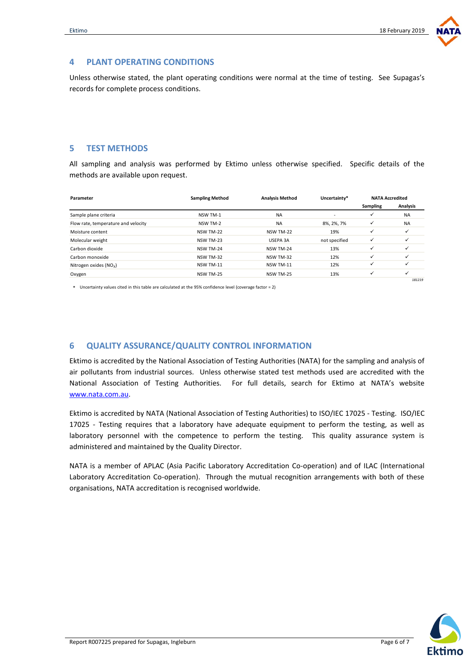

#### <span id="page-5-0"></span>**4 PLANT OPERATING CONDITIONS**

Unless otherwise stated, the plant operating conditions were normal at the time of testing. See Supagas's records for complete process conditions.

#### <span id="page-5-1"></span>**5 TEST METHODS**

All sampling and analysis was performed by Ektimo unless otherwise specified. Specific details of the methods are available upon request.

| Parameter                           | <b>Sampling Method</b> | <b>Analysis Method</b> |               | <b>NATA Accredited</b> |              |  |
|-------------------------------------|------------------------|------------------------|---------------|------------------------|--------------|--|
|                                     |                        |                        |               | Sampling               | Analysis     |  |
| Sample plane criteria               | NSW TM-1               | <b>NA</b>              |               | ✓                      | <b>NA</b>    |  |
| Flow rate, temperature and velocity | NSW TM-2               | <b>NA</b>              | 8%, 2%, 7%    | ✓                      | <b>NA</b>    |  |
| Moisture content                    | NSW TM-22              | NSW TM-22              | 19%           | ✓                      |              |  |
| Molecular weight                    | NSW TM-23              | USEPA 3A               | not specified | ✓                      |              |  |
| Carbon dioxide                      | NSW TM-24              | NSW TM-24              | 13%           | ✓                      | ✓            |  |
| Carbon monoxide                     | NSW TM-32              | NSW TM-32              | 12%           | ✓                      |              |  |
| Nitrogen oxides $(NO_x)$            | NSW TM-11              | NSW TM-11              | 12%           | ✓                      | ✓            |  |
| Oxygen                              | NSW TM-25              | NSW TM-25              | 13%           | $\checkmark$           | $\checkmark$ |  |
|                                     |                        |                        |               |                        | 181219       |  |

\* Uncertainty values cited in this table are calculated at the 95% confidence level (coverage factor = 2)

#### <span id="page-5-2"></span>**6 QUALITY ASSURANCE/QUALITY CONTROL INFORMATION**

Ektimo is accredited by the National Association of Testing Authorities (NATA) for the sampling and analysis of air pollutants from industrial sources. Unless otherwise stated test methods used are accredited with the National Association of Testing Authorities. For full details, search for Ektimo at NATA's website [www.nata.com.au.](http://www.nata.com.au/) 

Ektimo is accredited by NATA (National Association of Testing Authorities) to ISO/IEC 17025 - Testing. ISO/IEC 17025 - Testing requires that a laboratory have adequate equipment to perform the testing, as well as laboratory personnel with the competence to perform the testing. This quality assurance system is administered and maintained by the Quality Director.

NATA is a member of APLAC (Asia Pacific Laboratory Accreditation Co-operation) and of ILAC (International Laboratory Accreditation Co-operation). Through the mutual recognition arrangements with both of these organisations, NATA accreditation is recognised worldwide.